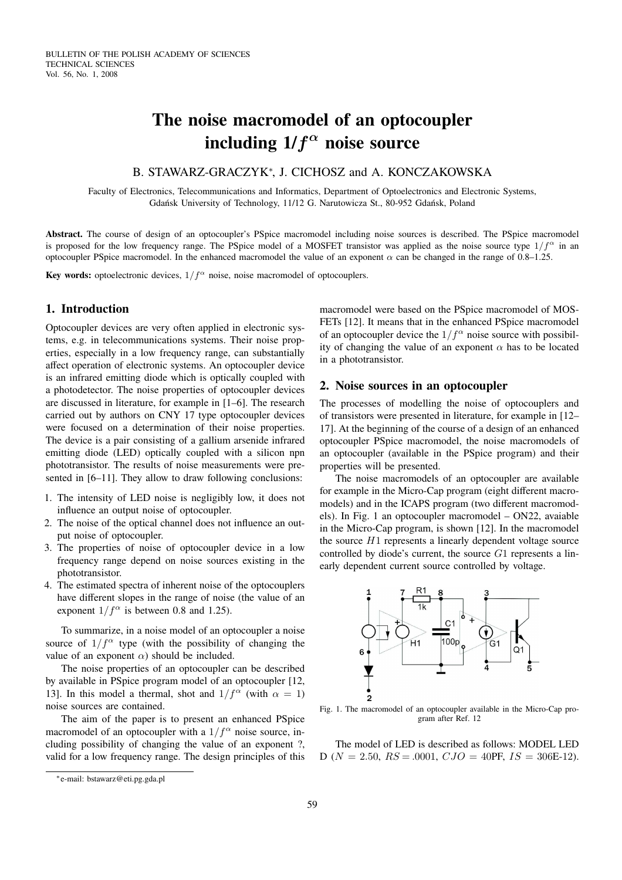# **The noise macromodel of an optocoupler including 1/**f α **noise source**

## B. STAWARZ-GRACZYK<sup>\*</sup>, J. CICHOSZ and A. KONCZAKOWSKA

Faculty of Electronics, Telecommunications and Informatics, Department of Optoelectronics and Electronic Systems, Gdańsk University of Technology, 11/12 G. Narutowicza St., 80-952 Gdańsk, Poland

**Abstract.** The course of design of an optocoupler's PSpice macromodel including noise sources is described. The PSpice macromodel is proposed for the low frequency range. The PSpice model of a MOSFET transistor was applied as the noise source type  $1/f^{\alpha}$  in an optocoupler PSpice macromodel. In the enhanced macromodel the value of an exponent  $\alpha$  can be changed in the range of 0.8–1.25.

**Key words:** optoelectronic devices,  $1/f^{\alpha}$  noise, noise macromodel of optocouplers.

## **1. Introduction**

Optocoupler devices are very often applied in electronic systems, e.g. in telecommunications systems. Their noise properties, especially in a low frequency range, can substantially affect operation of electronic systems. An optocoupler device is an infrared emitting diode which is optically coupled with a photodetector. The noise properties of optocoupler devices are discussed in literature, for example in [1–6]. The research carried out by authors on CNY 17 type optocoupler devices were focused on a determination of their noise properties. The device is a pair consisting of a gallium arsenide infrared emitting diode (LED) optically coupled with a silicon npn phototransistor. The results of noise measurements were presented in [6–11]. They allow to draw following conclusions:

- 1. The intensity of LED noise is negligibly low, it does not influence an output noise of optocoupler.
- 2. The noise of the optical channel does not influence an output noise of optocoupler.
- 3. The properties of noise of optocoupler device in a low frequency range depend on noise sources existing in the phototransistor.
- 4. The estimated spectra of inherent noise of the optocouplers have different slopes in the range of noise (the value of an exponent  $1/f^{\alpha}$  is between 0.8 and 1.25).

To summarize, in a noise model of an optocoupler a noise source of  $1/f^{\alpha}$  type (with the possibility of changing the value of an exponent  $\alpha$ ) should be included.

The noise properties of an optocoupler can be described by available in PSpice program model of an optocoupler [12, 13]. In this model a thermal, shot and  $1/f^{\alpha}$  (with  $\alpha = 1$ ) noise sources are contained.

The aim of the paper is to present an enhanced PSpice macromodel of an optocoupler with a  $1/f^{\alpha}$  noise source, including possibility of changing the value of an exponent ?, valid for a low frequency range. The design principles of this macromodel were based on the PSpice macromodel of MOS-FETs [12]. It means that in the enhanced PSpice macromodel of an optocoupler device the  $1/f^{\alpha}$  noise source with possibility of changing the value of an exponent  $\alpha$  has to be located in a phototransistor.

#### **2. Noise sources in an optocoupler**

The processes of modelling the noise of optocouplers and of transistors were presented in literature, for example in [12– 17]. At the beginning of the course of a design of an enhanced optocoupler PSpice macromodel, the noise macromodels of an optocoupler (available in the PSpice program) and their properties will be presented.

The noise macromodels of an optocoupler are available for example in the Micro-Cap program (eight different macromodels) and in the ICAPS program (two different macromodels). In Fig. 1 an optocoupler macromodel – ON22, avaiable in the Micro-Cap program, is shown [12]. In the macromodel the source  $H1$  represents a linearly dependent voltage source controlled by diode's current, the source  $G1$  represents a linearly dependent current source controlled by voltage.



Fig. 1. The macromodel of an optocoupler available in the Micro-Cap program after Ref. 12

The model of LED is described as follows: MODEL LED D ( $N = 2.50$ ,  $RS = .0001$ ,  $CJO = 40$ PF,  $IS = 306E-12$ ).

<sup>∗</sup>e-mail: bstawarz@eti.pg.gda.pl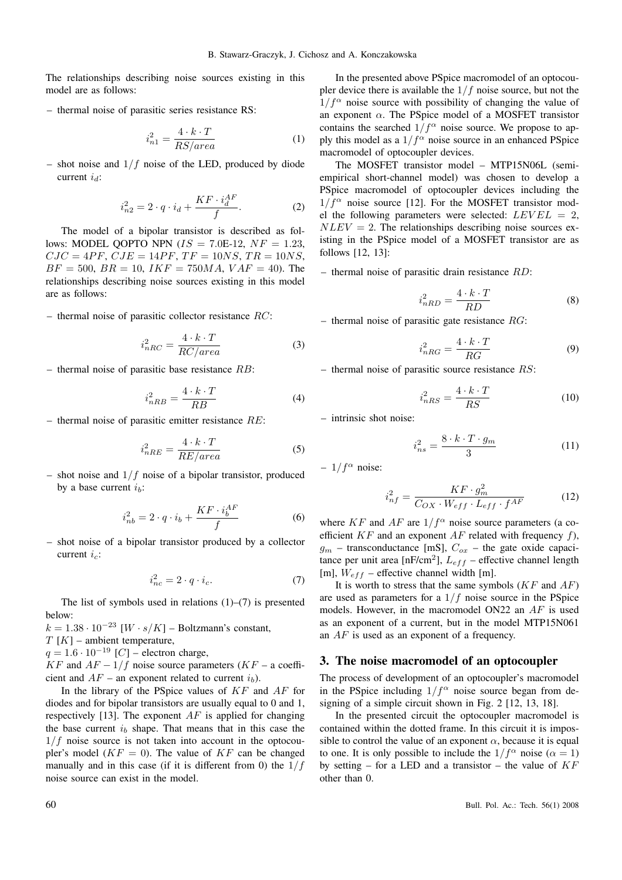The relationships describing noise sources existing in this model are as follows:

– thermal noise of parasitic series resistance RS:

$$
i_{n1}^2 = \frac{4 \cdot k \cdot T}{RS/area} \tag{1}
$$

– shot noise and  $1/f$  noise of the LED, produced by diode current  $i_d$ :

$$
i_{n2}^2 = 2 \cdot q \cdot i_d + \frac{KF \cdot i_d^{AF}}{f}.
$$
 (2)

The model of a bipolar transistor is described as follows: MODEL QOPTO NPN  $(IS = 7.0E-12, NF = 1.23,$  $CJC = 4PF, CJE = 14PF, TF = 10NS, TR = 10NS,$  $BF = 500$ ,  $BR = 10$ ,  $IKF = 750MA$ ,  $VAF = 40$ ). The relationships describing noise sources existing in this model are as follows:

 $-$  thermal noise of parasitic collector resistance  $RC$ :

$$
i_{nRC}^2 = \frac{4 \cdot k \cdot T}{RC/area}
$$
 (3)

 $-$  thermal noise of parasitic base resistance  $RB$ :

$$
i_{nRB}^2 = \frac{4 \cdot k \cdot T}{RB} \tag{4}
$$

 $-$  thermal noise of parasitic emitter resistance  $RE$ :

$$
i_{nRE}^2 = \frac{4 \cdot k \cdot T}{RE/area}
$$
 (5)

– shot noise and  $1/f$  noise of a bipolar transistor, produced by a base current  $i<sub>b</sub>$ :

$$
i_{nb}^{2} = 2 \cdot q \cdot i_{b} + \frac{KF \cdot i_{b}^{AF}}{f}
$$
 (6)

– shot noise of a bipolar transistor produced by a collector current  $i_c$ :

$$
i_{nc}^2 = 2 \cdot q \cdot i_c. \tag{7}
$$

The list of symbols used in relations  $(1)$ – $(7)$  is presented below:

 $k = 1.38 \cdot 10^{-23}$  [W · s/K] – Boltzmann's constant,  $T[K]$  – ambient temperature,

 $q = 1.6 \cdot 10^{-19}$  [C] – electron charge,

KF and  $AF - 1/f$  noise source parameters (KF – a coefficient and  $AF$  – an exponent related to current  $i<sub>b</sub>$ ).

In the library of the PSpice values of  $KF$  and  $AF$  for diodes and for bipolar transistors are usually equal to 0 and 1, respectively [13]. The exponent  $AF$  is applied for changing the base current  $i<sub>b</sub>$  shape. That means that in this case the  $1/f$  noise source is not taken into account in the optocoupler's model  $(KF = 0)$ . The value of KF can be changed manually and in this case (if it is different from 0) the  $1/f$ noise source can exist in the model.

In the presented above PSpice macromodel of an optocoupler device there is available the  $1/f$  noise source, but not the  $1/f^{\alpha}$  noise source with possibility of changing the value of an exponent  $\alpha$ . The PSpice model of a MOSFET transistor contains the searched  $1/f^{\alpha}$  noise source. We propose to apply this model as a  $1/f^{\alpha}$  noise source in an enhanced PSpice macromodel of optocoupler devices.

The MOSFET transistor model – MTP15N06L (semiempirical short-channel model) was chosen to develop a PSpice macromodel of optocoupler devices including the  $1/f^{\alpha}$  noise source [12]. For the MOSFET transistor model the following parameters were selected:  $LEVEL = 2$ ,  $NLEV = 2$ . The relationships describing noise sources existing in the PSpice model of a MOSFET transistor are as follows [12, 13]:

 $-$  thermal noise of parasitic drain resistance  $RD$ :

$$
i_{nRD}^2 = \frac{4 \cdot k \cdot T}{RD} \tag{8}
$$

 $-$  thermal noise of parasitic gate resistance  $RG$ :

$$
i_{nRG}^2 = \frac{4 \cdot k \cdot T}{RG} \tag{9}
$$

 $-$  thermal noise of parasitic source resistance  $RS$ :

$$
i_{nRS}^2 = \frac{4 \cdot k \cdot T}{RS} \tag{10}
$$

– intrinsic shot noise:

$$
i_{ns}^2 = \frac{8 \cdot k \cdot T \cdot g_m}{3} \tag{11}
$$

–  $1/f^{\alpha}$  noise:

$$
i_{nf}^2 = \frac{KF \cdot g_m^2}{C_{OX} \cdot W_{eff} \cdot L_{eff} \cdot f^{AF}}
$$
 (12)

where KF and AF are  $1/f^{\alpha}$  noise source parameters (a coefficient  $KF$  and an exponent  $AF$  related with frequency f),  $g_m$  – transconductance [mS],  $C_{ox}$  – the gate oxide capacitance per unit area  $[nF/cm^2]$ ,  $L_{eff}$  – effective channel length [m],  $W_{eff}$  – effective channel width [m].

It is worth to stress that the same symbols  $(KF \text{ and } AF)$ are used as parameters for a  $1/f$  noise source in the PSpice models. However, in the macromodel ON22 an AF is used as an exponent of a current, but in the model MTP15N061 an AF is used as an exponent of a frequency.

#### **3. The noise macromodel of an optocoupler**

The process of development of an optocoupler's macromodel in the PSpice including  $1/f^{\alpha}$  noise source began from designing of a simple circuit shown in Fig. 2 [12, 13, 18].

In the presented circuit the optocoupler macromodel is contained within the dotted frame. In this circuit it is impossible to control the value of an exponent  $\alpha$ , because it is equal to one. It is only possible to include the  $1/f^{\alpha}$  noise ( $\alpha = 1$ ) by setting – for a LED and a transistor – the value of  $KF$ other than 0.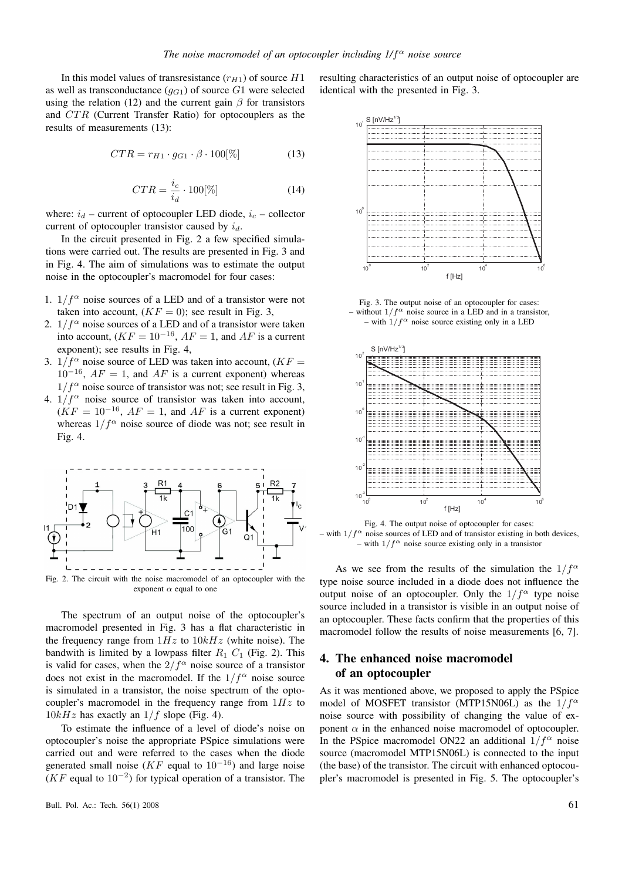In this model values of transresistance  $(r_{H1})$  of source  $H1$ as well as transconductance  $(q_{G1})$  of source G1 were selected using the relation (12) and the current gain  $\beta$  for transistors and CTR (Current Transfer Ratio) for optocouplers as the results of measurements (13):

$$
CTR = r_{H1} \cdot g_{G1} \cdot \beta \cdot 100[\%]
$$
 (13)

$$
CTR = \frac{i_c}{i_d} \cdot 100[\%]
$$
 (14)

where:  $i_d$  – current of optocoupler LED diode,  $i_c$  – collector current of optocoupler transistor caused by  $i_d$ .

In the circuit presented in Fig. 2 a few specified simulations were carried out. The results are presented in Fig. 3 and in Fig. 4. The aim of simulations was to estimate the output noise in the optocoupler's macromodel for four cases:

- 1.  $1/f^{\alpha}$  noise sources of a LED and of a transistor were not taken into account,  $(KF = 0)$ ; see result in Fig. 3,
- 2.  $1/f^{\alpha}$  noise sources of a LED and of a transistor were taken into account,  $(KF = 10^{-16}, AF = 1$ , and AF is a current exponent); see results in Fig. 4,
- 3.  $1/f^{\alpha}$  noise source of LED was taken into account,  $(KF =$  $10^{-16}$ ,  $AF = 1$ , and  $AF$  is a current exponent) whereas  $1/f^{\alpha}$  noise source of transistor was not; see result in Fig. 3,
- 4.  $1/f^{\alpha}$  noise source of transistor was taken into account,  $(KF = 10^{-16}, AF = 1, and AF$  is a current exponent) whereas  $1/f^{\alpha}$  noise source of diode was not; see result in Fig. 4.



Fig. 2. The circuit with the noise macromodel of an optocoupler with the exponent  $\alpha$  equal to one

The spectrum of an output noise of the optocoupler's macromodel presented in Fig. 3 has a flat characteristic in the frequency range from  $1Hz$  to  $10kHz$  (white noise). The bandwith is limited by a lowpass filter  $R_1$   $C_1$  (Fig. 2). This is valid for cases, when the  $2/f^{\alpha}$  noise source of a transistor does not exist in the macromodel. If the  $1/f^{\alpha}$  noise source is simulated in a transistor, the noise spectrum of the optocoupler's macromodel in the frequency range from  $1Hz$  to  $10kHz$  has exactly an  $1/f$  slope (Fig. 4).

To estimate the influence of a level of diode's noise on optocoupler's noise the appropriate PSpice simulations were carried out and were referred to the cases when the diode generated small noise ( $KF$  equal to  $10^{-16}$ ) and large noise  $(KF$  equal to  $10^{-2}$ ) for typical operation of a transistor. The

resulting characteristics of an output noise of optocoupler are identical with the presented in Fig. 3.



Fig. 3. The output noise of an optocoupler for cases: – without  $1/f^{\alpha}$  noise source in a LED and in a transistor, – with  $1/f^{\alpha}$  noise source existing only in a LED



Fig. 4. The output noise of optocoupler for cases: with  $1/f^{\alpha}$  noise sources of LED and of transistor existing in both devices, – with  $1/f^{\alpha}$  noise source existing only in a transistor

As we see from the results of the simulation the  $1/f^{\alpha}$ type noise source included in a diode does not influence the output noise of an optocoupler. Only the  $1/f^{\alpha}$  type noise source included in a transistor is visible in an output noise of an optocoupler. These facts confirm that the properties of this macromodel follow the results of noise measurements [6, 7].

## **4. The enhanced noise macromodel of an optocoupler**

As it was mentioned above, we proposed to apply the PSpice model of MOSFET transistor (MTP15N06L) as the  $1/f^{\alpha}$ noise source with possibility of changing the value of exponent  $\alpha$  in the enhanced noise macromodel of optocoupler. In the PSpice macromodel ON22 an additional  $1/f^{\alpha}$  noise source (macromodel MTP15N06L) is connected to the input (the base) of the transistor. The circuit with enhanced optocoupler's macromodel is presented in Fig. 5. The optocoupler's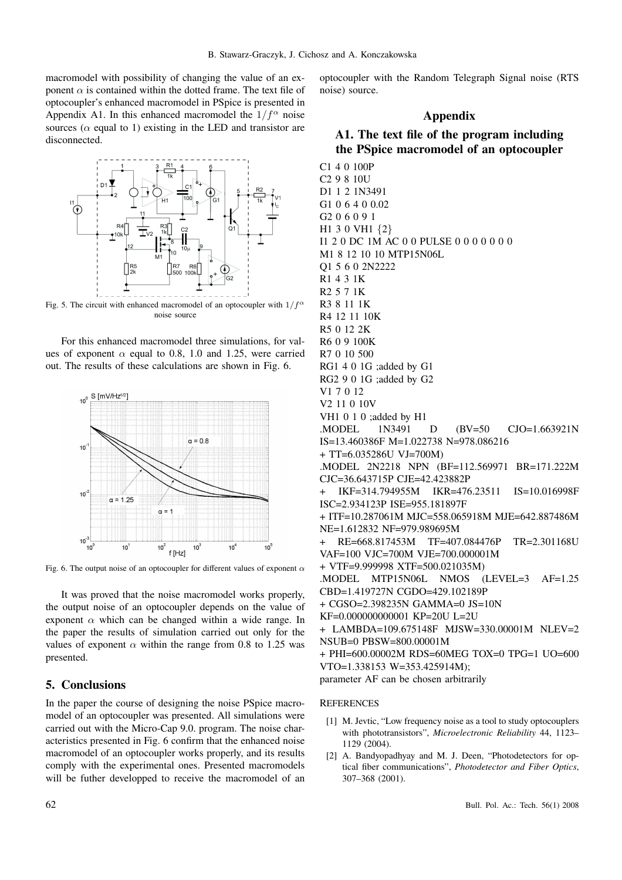macromodel with possibility of changing the value of an exponent  $\alpha$  is contained within the dotted frame. The text file of optocoupler's enhanced macromodel in PSpice is presented in Appendix A1. In this enhanced macromodel the  $1/f^{\alpha}$  noise sources ( $\alpha$  equal to 1) existing in the LED and transistor are disconnected.



Fig. 5. The circuit with enhanced macromodel of an optocoupler with  $1/f^{\alpha}$ noise source

For this enhanced macromodel three simulations, for values of exponent  $\alpha$  equal to 0.8, 1.0 and 1.25, were carried out. The results of these calculations are shown in Fig. 6.



Fig. 6. The output noise of an optocoupler for different values of exponent  $\alpha$ 

It was proved that the noise macromodel works properly, the output noise of an optocoupler depends on the value of exponent  $\alpha$  which can be changed within a wide range. In the paper the results of simulation carried out only for the values of exponent  $\alpha$  within the range from 0.8 to 1.25 was presented.

### **5. Conclusions**

In the paper the course of designing the noise PSpice macromodel of an optocoupler was presented. All simulations were carried out with the Micro-Cap 9.0. program. The noise characteristics presented in Fig. 6 confirm that the enhanced noise macromodel of an optocoupler works properly, and its results comply with the experimental ones. Presented macromodels will be futher developped to receive the macromodel of an optocoupler with the Random Telegraph Signal noise (RTS noise) source.

#### **Appendix**

## **A1. The text file of the program including the PSpice macromodel of an optocoupler**

C1 4 0 100P C2 9 8 10U D1 1 2 1N3491 G1 0 6 4 0 0.02 G2 0 6 0 9 1 H1 3 0 VH1 {2} I1 2 0 DC 1M AC 0 0 PULSE 0 0 0 0 0 0 0 M1 8 12 10 10 MTP15N06L Q1 5 6 0 2N2222 R1 4 3 1K R2 5 7 1K R3 8 11 1K R4 12 11 10K R5 0 12 2K R6 0 9 100K R7 0 10 500 RG1 4 0 1G ;added by G1 RG2 9 0 1G ;added by G2 V1 7 0 12 V2 11 0 10V VH1 0 1 0 ;added by H1 .MODEL 1N3491 D (BV=50 CJO=1.663921N IS=13.460386F M=1.022738 N=978.086216 + TT=6.035286U VJ=700M) .MODEL 2N2218 NPN (BF=112.569971 BR=171.222M CJC=36.643715P CJE=42.423882P IKF=314.794955M IKR=476.23511 IS=10.016998F ISC=2.934123P ISE=955.181897F + ITF=10.287061M MJC=558.065918M MJE=642.887486M NE=1.612832 NF=979.989695M + RE=668.817453M TF=407.084476P TR=2.301168U VAF=100 VJC=700M VJE=700.000001M + VTF=9.999998 XTF=500.021035M) .MODEL MTP15N06L NMOS (LEVEL=3 AF=1.25 CBD=1.419727N CGDO=429.102189P + CGSO=2.398235N GAMMA=0 JS=10N KF=0.000000000001 KP=20U L=2U + LAMBDA=109.675148F MJSW=330.00001M NLEV=2 NSUB=0 PBSW=800.00001M + PHI=600.00002M RDS=60MEG TOX=0 TPG=1 UO=600 VTO=1.338153 W=353.425914M); parameter AF can be chosen arbitrarily

#### **REFERENCES**

- [1] M. Jevtic, "Low frequency noise as a tool to study optocouplers" with phototransistors", *Microelectronic Reliability* 44, 1123– 1129 (2004).
- [2] A. Bandyopadhyay and M. J. Deen, "Photodetectors for optical fiber communications", *Photodetector and Fiber Optics*, 307–368 (2001).